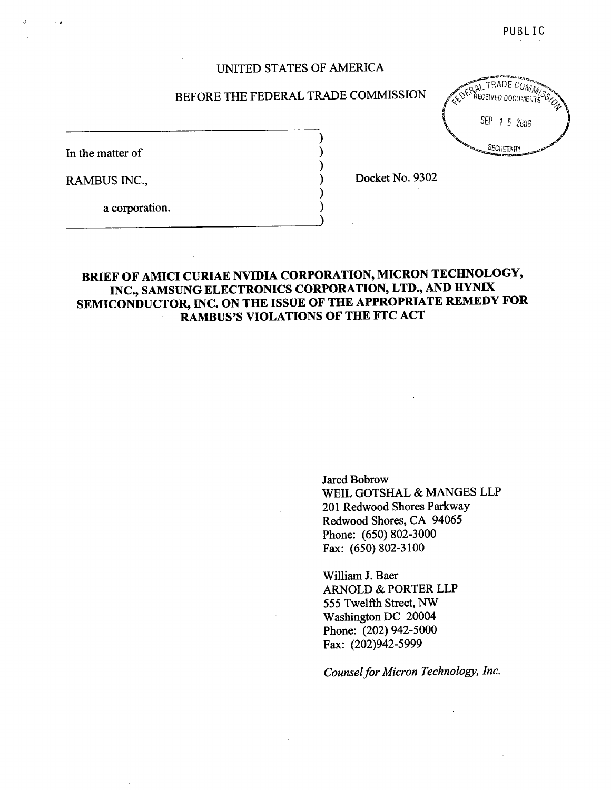PUBLIC

## UNITED STATES OF AMERICA

### BEFORE THE FEDERAL TRADE COMMISSION

In the matter of

RAMBUS INC.

Docket No. 9302

a corporation.

## BRIEF OF AMICI CURIAE NVIDIA CORPORATION, MICRON TECHNOLOGY, INC., SAMSUNG ELECTRONICS CORPORATION, LTD., AND HYNIX SEMICONDUCTOR, INC. ON THE ISSUE OF THE APPROPRIATE REMEDY FOR RAMBUS'S VIOLATIONS OF THE FTC ACT

Jared Bobrow WElL GOTSHAL & MANGES LLP 201 Redwood Shores Parkway Redwood Shores, CA 94065 Phone: (650) 802-3000 Fax: (650) 802-3100

Wiliam J. Baer ARNOLD & PORTER LLP 555 Twelfth Street, NW Washington DC 20004 Phone: (202) 942-5000 Fax: (202)942-5999

Counsel for Micron Technology, Inc.

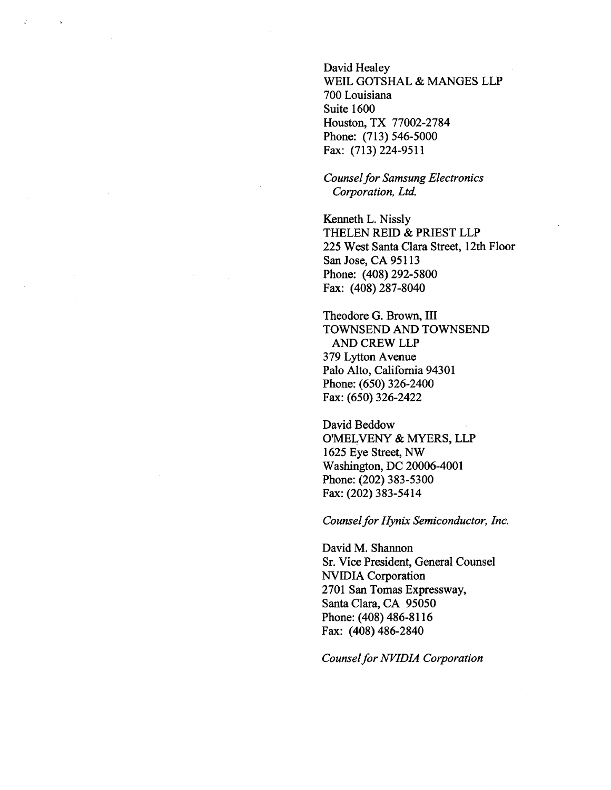David Healey WElL GOTSHAL & MANGES LLP 700 Louisiana Suite 1600 Houston, TX 77002-2784 Phone: (713) 546-5000 Fax: (713) 224-9511

### Counsel for Samsung Electronics Corporation, Ltd.

Kenneth L. Nissly THELEN REID & PRIEST LLP 225 West Santa Clara Street, 12th Floor San Jose, CA 95113 Phone: (408) 292-5800 Fax: (408) 287-8040

Theodore G. Brown, III TOWNSEND AND TOWNSEND AND CREW LLP 379 Lyton Avenue Palo Alto, California 94301 Phone: (650) 326-2400 Fax: (650) 326-2422

David Beddow O'MELVENY & MYERS, LLP 1625 Eye Street, NW Washington, DC 20006-4001 Phone: (202) 383-5300 Fax: (202) 383-5414

Counsel for Hynix Semiconductor, Inc.

David M. Shannon Sr. Vice President, General Counsel NVIDIA Corporation 2701 San Tomas Expressway, Santa Clara, CA 95050 Phone: (408) 486-8116 Fax: (408) 486-2840

Counsel for NVIDIA Corporation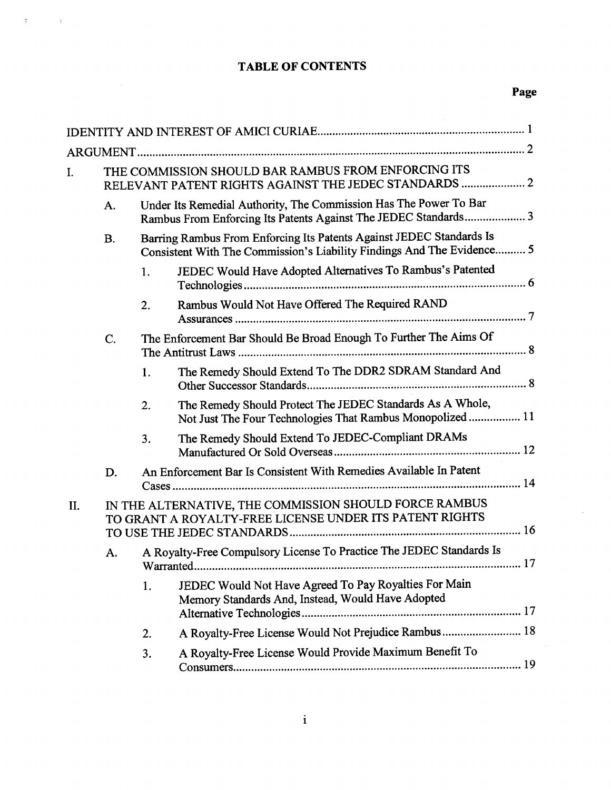# TABLE OF CONTENTS

 $\overline{A} = \begin{pmatrix} 1 & 0 & 0 \\ 0 & 0 & 0 \\ 0 & 0 & 0 \end{pmatrix}$ 

 $\mathcal{L}^{\mathcal{L}}$ 

| I.  |                                                                                                                                                             | THE COMMISSION SHOULD BAR RAMBUS FROM ENFORCING ITS<br>RELEVANT PATENT RIGHTS AGAINST THE JEDEC STANDARDS  2 |                                                                                                                                      |  |  |
|-----|-------------------------------------------------------------------------------------------------------------------------------------------------------------|--------------------------------------------------------------------------------------------------------------|--------------------------------------------------------------------------------------------------------------------------------------|--|--|
|     | A.                                                                                                                                                          |                                                                                                              | Under Its Remedial Authority, The Commission Has The Power To Bar<br>Rambus From Enforcing Its Patents Against The JEDEC Standards 3 |  |  |
|     | Barring Rambus From Enforcing Its Patents Against JEDEC Standards Is<br><b>B.</b><br>Consistent With The Commission's Liability Findings And The Evidence 5 |                                                                                                              |                                                                                                                                      |  |  |
|     |                                                                                                                                                             | 1.                                                                                                           | JEDEC Would Have Adopted Alternatives To Rambus's Patented                                                                           |  |  |
|     |                                                                                                                                                             | 2.                                                                                                           | Rambus Would Not Have Offered The Required RAND                                                                                      |  |  |
|     | C.                                                                                                                                                          |                                                                                                              | The Enforcement Bar Should Be Broad Enough To Further The Aims Of                                                                    |  |  |
|     |                                                                                                                                                             | 1.                                                                                                           | The Remedy Should Extend To The DDR2 SDRAM Standard And                                                                              |  |  |
|     |                                                                                                                                                             | 2.                                                                                                           | The Remedy Should Protect The JEDEC Standards As A Whole,<br>Not Just The Four Technologies That Rambus Monopolized  11              |  |  |
|     |                                                                                                                                                             | 3.                                                                                                           | The Remedy Should Extend To JEDEC-Compliant DRAMs                                                                                    |  |  |
|     | D.                                                                                                                                                          |                                                                                                              | An Enforcement Bar Is Consistent With Remedies Available In Patent                                                                   |  |  |
| II. | IN THE ALTERNATIVE, THE COMMISSION SHOULD FORCE RAMBUS<br>TO GRANT A ROYALTY-FREE LICENSE UNDER ITS PATENT RIGHTS                                           |                                                                                                              |                                                                                                                                      |  |  |
|     | A.                                                                                                                                                          | Warranted                                                                                                    | A Royalty-Free Compulsory License To Practice The JEDEC Standards Is                                                                 |  |  |
|     |                                                                                                                                                             | 1.                                                                                                           | JEDEC Would Not Have Agreed To Pay Royalties For Main<br>Memory Standards And, Instead, Would Have Adopted                           |  |  |
|     |                                                                                                                                                             | 2.                                                                                                           | A Royalty-Free License Would Not Prejudice Rambus 18                                                                                 |  |  |
|     |                                                                                                                                                             | 3.                                                                                                           | A Royalty-Free License Would Provide Maximum Benefit To                                                                              |  |  |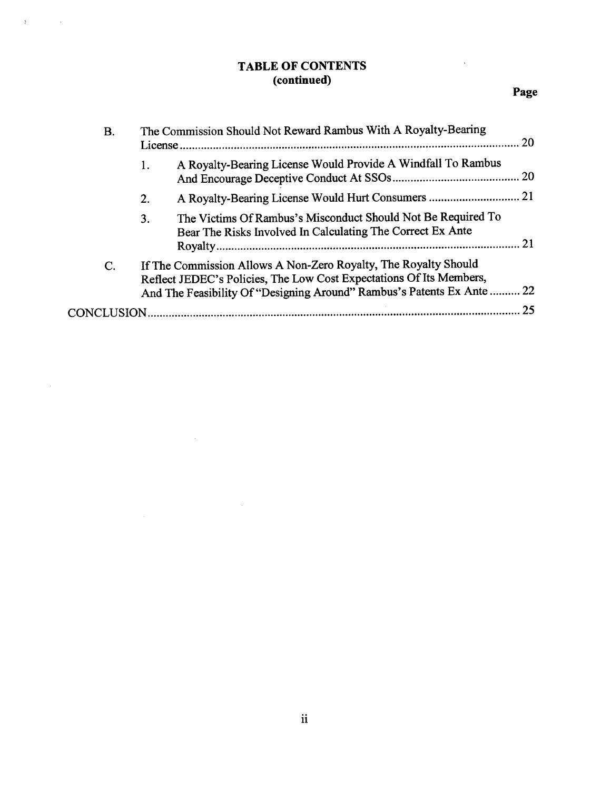## TABLE OF CONTENTS (continued)

 $\mathcal{F}^{\mathcal{G}}_{\mathcal{F}}$  , where  $\mathcal{F}^{\mathcal{G}}_{\mathcal{F}}$ 

 $\hat{\mathcal{A}}$ 

 $\sim$ 

| <b>B.</b> |    | The Commission Should Not Reward Rambus With A Royalty-Bearing<br>20                                                                                                                                         |    |  |
|-----------|----|--------------------------------------------------------------------------------------------------------------------------------------------------------------------------------------------------------------|----|--|
|           | 1. | A Royalty-Bearing License Would Provide A Windfall To Rambus                                                                                                                                                 |    |  |
|           | 2. |                                                                                                                                                                                                              |    |  |
|           | 3. | The Victims Of Rambus's Misconduct Should Not Be Required To<br>Bear The Risks Involved In Calculating The Correct Ex Ante                                                                                   | 21 |  |
| C.        |    | If The Commission Allows A Non-Zero Royalty, The Royalty Should<br>Reflect JEDEC's Policies, The Low Cost Expectations Of Its Members,<br>And The Feasibility Of "Designing Around" Rambus's Patents Ex Ante | 22 |  |
|           |    | CONCLUSION                                                                                                                                                                                                   | 25 |  |
|           |    |                                                                                                                                                                                                              |    |  |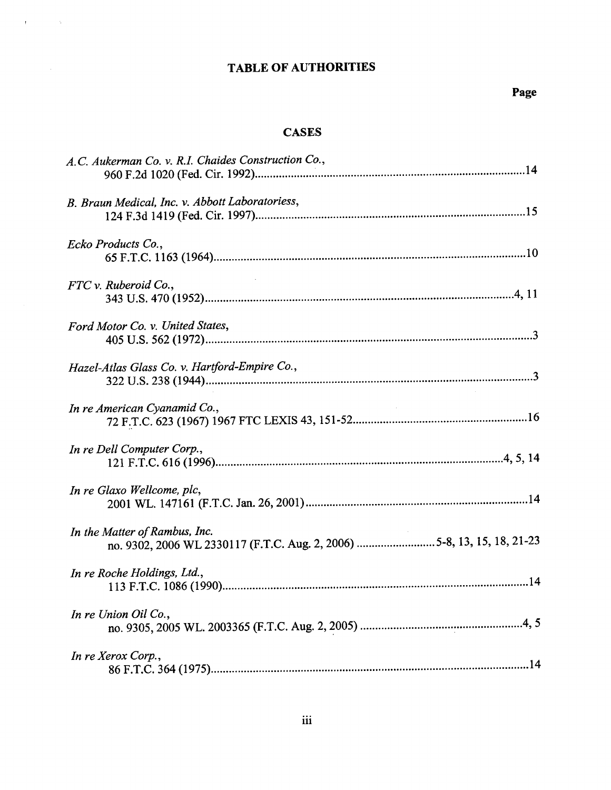# TABLE OF AUTHORITIES

 $\mathbf{H}^{(1)}$  and  $\mathbf{H}^{(2)}$  and  $\mathbf{H}^{(3)}$ 

## **CASES**

| A.C. Aukerman Co. v. R.I. Chaides Construction Co.,                                                     |
|---------------------------------------------------------------------------------------------------------|
| B. Braun Medical, Inc. v. Abbott Laboratoriess,                                                         |
| Ecko Products Co.,                                                                                      |
| $FTC$ v. Ruberoid Co.,                                                                                  |
| Ford Motor Co. v. United States,                                                                        |
| Hazel-Atlas Glass Co. v. Hartford-Empire Co.,                                                           |
| In re American Cyanamid Co.,                                                                            |
| In re Dell Computer Corp.,                                                                              |
| In re Glaxo Wellcome, plc,                                                                              |
| In the Matter of Rambus, Inc.<br>no. 9302, 2006 WL 2330117 (F.T.C. Aug. 2, 2006) 5-8, 13, 15, 18, 21-23 |
| In re Roche Holdings, Ltd.,                                                                             |
| In re Union Oil Co.,                                                                                    |
| In re Xerox Corp.,                                                                                      |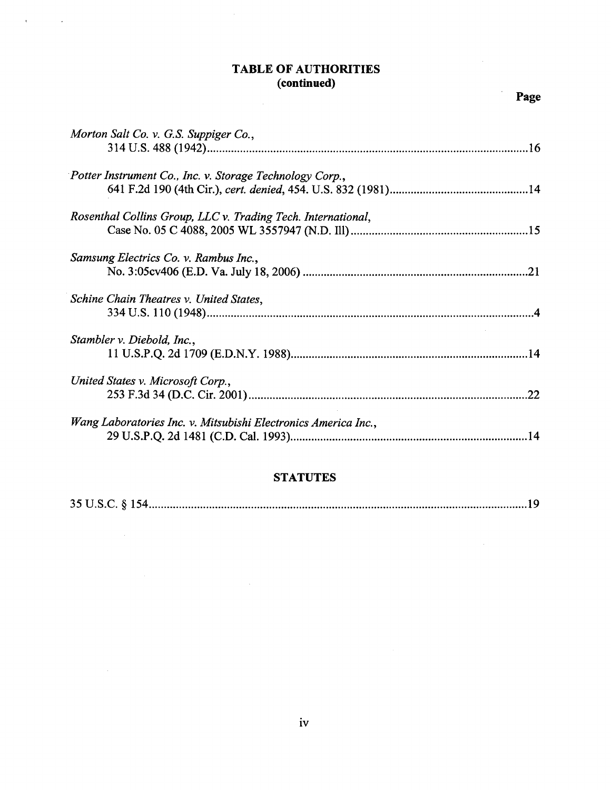## TABLE OF AUTHORITIES (continued)

 $\mathcal{A}(\mathbf{r})$  and  $\mathcal{A}(\mathbf{r})$ 

 $\bar{\beta}$ 

| Morton Salt Co. v. G.S. Suppiger Co.,                          |     |
|----------------------------------------------------------------|-----|
| Potter Instrument Co., Inc. v. Storage Technology Corp.,       |     |
| Rosenthal Collins Group, LLC v. Trading Tech. International,   |     |
| Samsung Electrics Co. v. Rambus Inc.,                          |     |
| Schine Chain Theatres v. United States,                        |     |
| Stambler v. Diebold, Inc.,                                     |     |
| United States v. Microsoft Corp.,                              | 22  |
| Wang Laboratories Inc. v. Mitsubishi Electronics America Inc., | .14 |

### **STATUTES**

|--|--|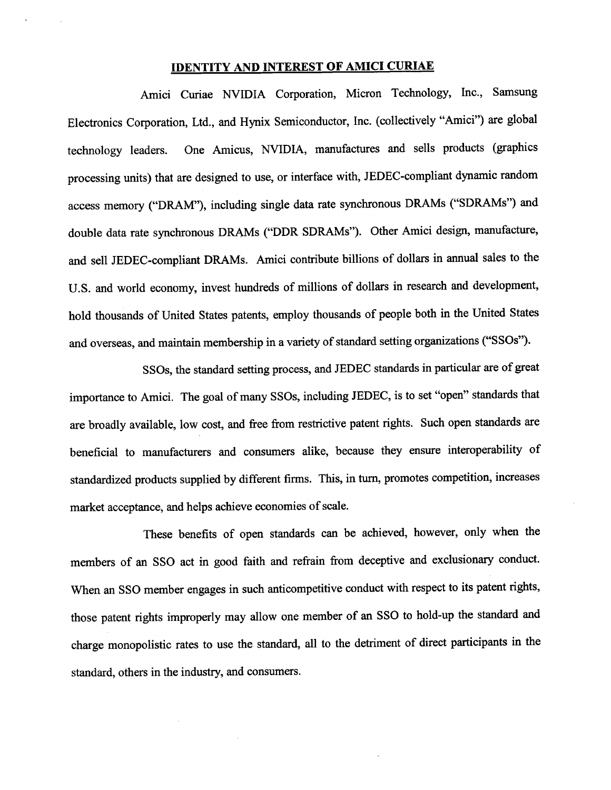### IDENTITY AND INTEREST OF AMICI CURIAE

Amici Curae NVIDIA Corporation, Micron Technology, Inc., Samsung Electronics Corporation, Ltd., and Hynix Semiconductor, Inc. (collectively "Amici") are global technology leaders. One Amicus, NVIDIA, manufactures and sells products (graphics processing units) that are designed to use, or interface with, JEDEC-compliant dynamic random access memory ("DRAM"), including single data rate synchronous DRAMs ("SDRAMs") and double data rate synchronous DRAMs ("DDR SDRAMs"). Other Amici design, manufacture, and sell JEDEC-compliant DRAMs. Amici contrbute bilions of dollars in anual sales to the U.S. and world economy, invest hundreds of millions of dollars in research and development, hold thousands of United States patents, employ thousands of people both in the United States and overseas, and maintain membership in a variety of standard setting organizations ("SSOs").

SSOs, the standard setting process, and JEDEC standards in paricular are of great importance to Amici. The goal of many SSOs, including JEDEC, is to set "open" standards that are broadly available, low cost, and free from restrictive patent rights. Such open standards are beneficial to manufacturers and consumers alike, because they ensure interoperabilty of standardized products supplied by different firms. This, in turn, promotes competition, increases market acceptance, and helps achieve economies of scale.

These benefits of open standards can be achieved, however, only when the members of an SSO act in good faith and refrain from deceptive and exclusionary conduct. When an SSO member engages in such anticompetitive conduct with respect to its patent rights, those patent rights improperly may allow one member of an SSO to hold-up the standard and charge monopolistic rates to use the standard, all to the detriment of direct paricipants in the standard, others in the industry, and consumers.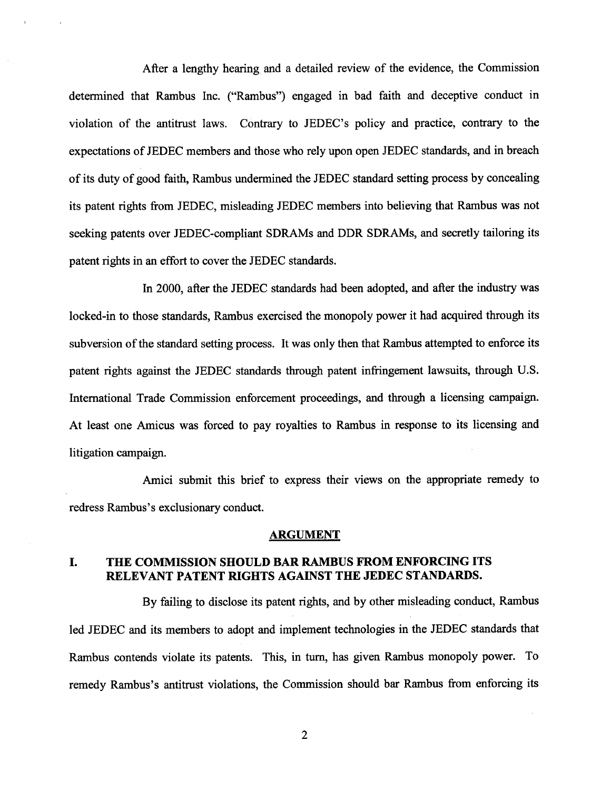After a lengthy hearng and a detailed review of the evidence, the Commission determined that Rambus Inc. ("Rambus") engaged in bad faith and deceptive conduct in violation of the antitrust laws. Contrary to JEDEC's policy and practice, contrary to the expectations of JEDEC members and those who rely upon open JEDEC standards, and in breach of its duty of good faith, Rambus undermined the JEDEC standard setting process by concealing its patent rights from JEDEC, misleading JEDEC members into believing that Rambus was not seeking patents over JEDEC-compliant SDRAMs and DDR SDRAMs, and secretly tailoring its patent rights in an effort to cover the JEDEC standards.

In 2000, after the JEDEC standards had been adopted, and after the industry was locked-in to those standards, Rambus exercised the monopoly power it had acquired through its subversion of the standard setting process. It was only then that Rambus attempted to enforce its patent rights against the JEDEC standards through patent infringement lawsuits, through U.S. International Trade Commission enforcement proceedings, and through a licensing campaign. At least one Amicus was forced to pay royalties to Rambus in response to its licensing and litigation campaign.

Amici submit this brief to express their views on the appropriate remedy to redress Rambus's exclusionary conduct.

### ARGUMENT

#### THE COMMISSION SHOULD BAR RAMBUS FROM ENFORCING ITS L RELEVANT PATENT RIGHTS AGAINST THE JEDEC STANDARDS.

By failng to disclose its patent rights, and by other misleading conduct, Rambus led JEDEC and its members to adopt and implement technologies in the JEDEC standards that Rambus contends violate its patents. This, in turn, has given Rambus monopoly power. To remedy Rambus's antitrust violations, the Commission should bar Rambus from enforcing its

 $\overline{2}$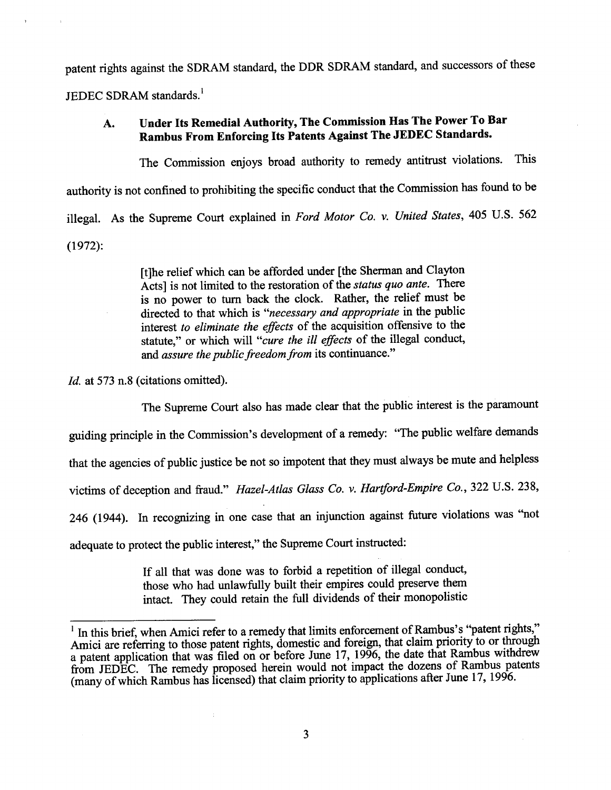patent rights against the SDRAM standard, the DDR SDRAM standard, and successors of these

JEDEC SDRAM standards.

### Under Its Remedial Authority, The Commission Has The Power To Bar  $\mathbf{A}$ . Rambus From Enforcing Its Patents Against The JEDEC Standards.

The Commission enjoys broad authority to remedy antitrust violations. This authority is not confined to prohibiting the specific conduct that the Commission has found to be illegal. As the Supreme Court explained in Ford Motor Co. v. United States, 405 U.S. 562 (1972):

> (tJhe relief which can be afforded under (the Sherman and Clayton Acts] is not limited to the restoration of the *status quo ante*. There is no power to turn back the clock. Rather, the relief must be directed to that which is "necessary and appropriate in the public interest to eliminate the effects of the acquisition offensive to the statute," or which will "cure the ill effects of the illegal conduct, and assure the public freedom from its continuance."

Id. at 573 n.8 (citations omitted).

The Supreme Court also has made clear that the public interest is the paramount

guiding principle in the Commission's development of a remedy: "The public welfare demands

that the agencies of public justice be not so impotent that they must always be mute and helpless

victims of deception and fraud." Hazel-Atlas Glass Co. v. Hartford-Empire Co., 322 U.S. 238,

246 (1944). In recognizing in one case that an injunction against future violations was "not

adequate to protect the public interest," the Supreme Court instructed:

If all that was done was to forbid a repetition of ilegal conduct those who had unlawfully built their empires could preserve them intact. They could retain the full dividends of their monopolistic

 $1$  In this brief, when Amici refer to a remedy that limits enforcement of Rambus's "patent rights," Amici are referring to those patent rights, domestic and foreign, that claim priority to or through a patent application that was filed on or before June 17, 1996, the date that Rambus withdrew from JEDEC. The remedy proposed herein would not impact the dozens of Rambus patents (many of which Rambus has licensed) that claim priority to applications after June 17, 1996.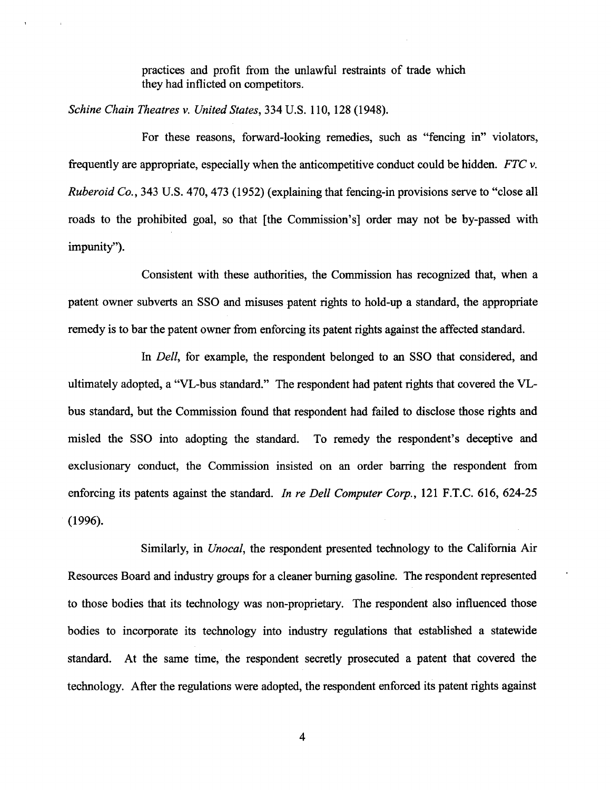practices and profit from the unlawful restraints of trade which they had inflicted on competitors.

Schine Chain Theatres v. United States, 334 U.S. 110, 128 (1948).

For these reasons, forward-looking remedies, such as "fencing in" violators frequently are appropriate, especially when the anticompetitive conduct could be hidden.  $FTC$  v. Ruberoid Co., 343 U.S. 470, 473 (1952) (explaining that fencing-in provisions serve to "close all roads to the prohibited goal, so that [the Commission's] order may not be by-passed with impunity").

Consistent with these authorities, the Commission has recognized that, when a patent owner subverts an SSO and misuses patent rights to hold-up a standard, the appropriate remedy is to bar the patent owner from enforcing its patent rights against the affected standard.

In *Dell*, for example, the respondent belonged to an SSO that considered, and ultimately adopted, a "VL-bus standard." The respondent had patent rights that covered the VLbus standard, but the Commission found that respondent had failed to disclose those rights and misled the SSO into adopting the standard. To remedy the respondent's deceptive and exclusionary conduct, the Commission insisted on an order barring the respondent from enforcing its patents against the standard. In re Dell Computer Corp., 121 F.T.C. 616, 624-25 (1996).

Similarly, in *Unocal*, the respondent presented technology to the California Air Resources Board and industry groups for a cleaner buring gasoline. The respondent represented to those bodies that its technology was non-proprietary. The respondent also influenced those bodies to incorporate its technology into industry regulations that established a statewide standard. At the same time, the respondent secretly prosecuted a patent that covered the technology. After the regulations were adopted, the respondent enforced its patent rights against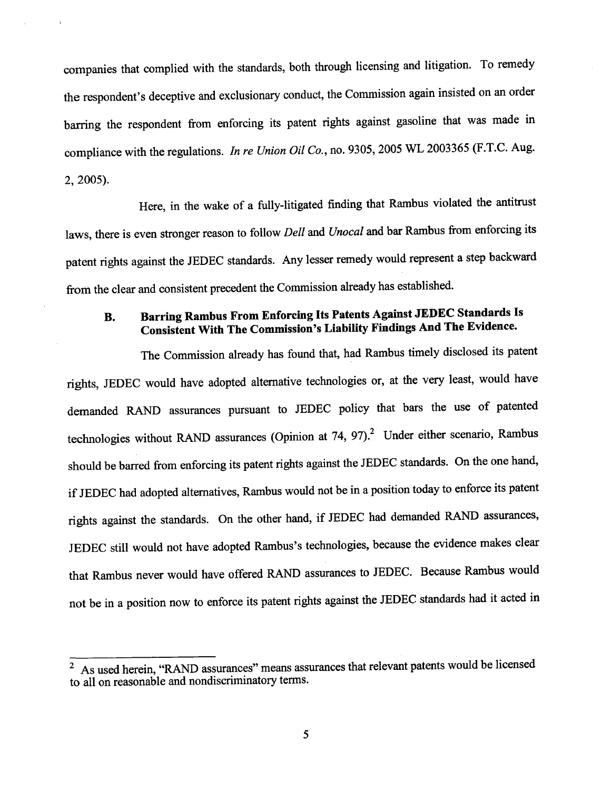companies that complied with the standards, both through licensing and litigation. To remedy the respondent's deceptive and exclusionary conduct, the Commission again insisted on an order barring the respondent from enforcing its patent rights against gasoline that was made in compliance with the regulations. In re Union Oil Co., no. 9305, 2005 WL 2003365 (F.T.C. Aug. , 2005).

Here, in the wake of a fully-litigated finding that Rambus violated the antitrust laws, there is even stronger reason to follow Dell and Unocal and bar Rambus from enforcing its patent rights against the JEDEC standards. Any lesser remedy would represent a step backward from the clear and consistent precedent the Commission already has established.

### Barring Rambus From Enforcing Its Patents Against JEDEC Standards Is **B.** Consistent With The Commission's Liability Findings And The Evidence.

The Commission already has found that, had Rambus timely disclosed its patent rights, JEDEC would have adopted alternative technologies or, at the very least, would have demanded RAND assurances pursuant to JEDEC policy that bars the use of patented technologies without RAND assurances (Opinion at  $74$ ,  $97$ ).<sup>2</sup> Under either scenario, Rambus should be barred from enforcing its patent rights against the JEDEC standards. On the one hand, if JEDEC had adopted alternatives, Rambus would not be in a position today to enforce its patent rights against the standards. On the other hand, if JEDEC had demanded RAND assurances JEDEC still would not have adopted Rambus's technologies, because the evidence makes clear that Rambus never would have offered RAND assurances to JEDEC. Because Rambus would not be in a position now to enforce its patent rights against the JEDEC standards had it acted in

 $\overline{P_{\text{As} \text{ used herein}}},$  "RAND assurances" means assurances that relevant patents would be licensed to all on reasonable and nondiscriminatory terms.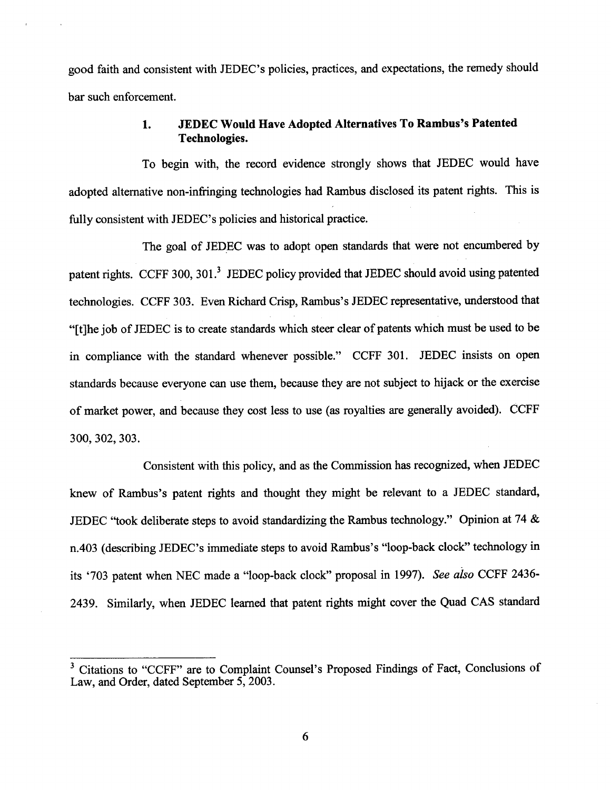good faith and consistent with JEDEC's policies, practices, and expectations, the remedy should bar such enforcement.

#### JEDEC Would Have Adopted Alternatives To Rambus's Patented 1. Technologies.

To begin with, the record evidence strongly shows that JEDEC would have adopted alternative non-infrnging technologies had Rambus disclosed its patent rights. This is fully consistent with JEDEC's policies and historical practice.

The goal of JEDEC was to adopt open standards that were not encumbered by patent rights. CCFF 300, 301.<sup>3</sup> JEDEC policy provided that JEDEC should avoid using patented technologies. CCFF 303. Even Richard Crisp, Rambus's JEDEC representative, understood that (tJhe job of JEDEC is to create standards which steer clear of patents which must be used to be in compliance with the standard whenever possible." CCFF 301. JEDEC insists on open standards because everyone can use them, because they are not subject to hijack or the exercise of market power, and because they cost less to use (as royalties are generally avoided). CCFF 300 302, 303.

Consistent with this policy, and as the Commission has recognized, when JEDEC knew of Rambus's patent rights and thought they might be relevant to a JEDEC standard, JEDEC "took deliberate steps to avoid standardizing the Rambus technology." Opinion at 74  $\&$ n.403 (describing JEDEC's immediate steps to avoid Rambus's "loop-back clock" technology in its '703 patent when NEC made a "loop-back clock" proposal in 1997). See also CCFF 2436-2439. Similarly, when JEDEC leared that patent rights might cover the Quad CAS standard

<sup>3</sup> Citations to "CCFF" are to Complaint Counsel's Proposed Findings of Fact, Conclusions of Law, and Order, dated September 5, 2003.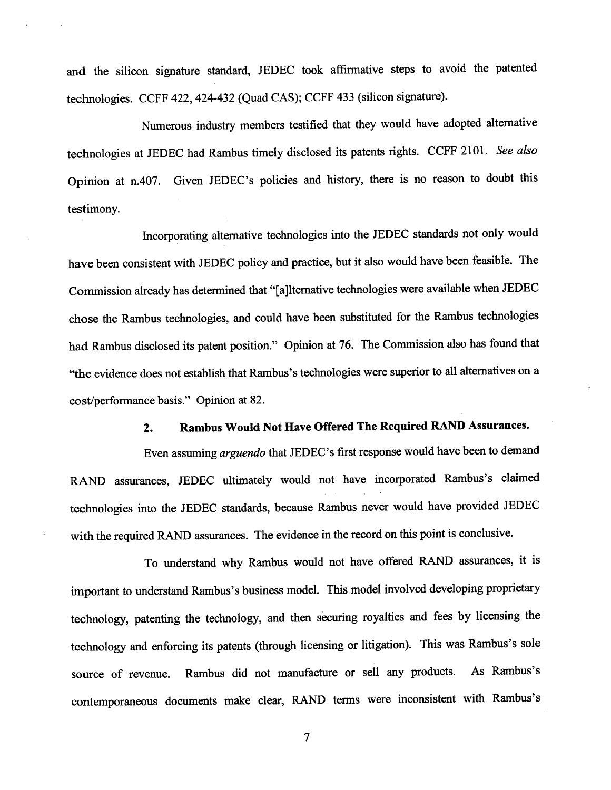and the silicon signature standard, JEDEC took affirmative steps to avoid the patented technologies. CCFF 422, 424-432 (Quad CAS); CCFF 433 (silicon signatue).

Numerous industry members testified that they would have adopted alternative technologies at JEDEC had Rambus timely disclosed its patents rights. CCFF 2101. See also Opinion at n.407. Given JEDEC's policies and history, there is no reason to doubt this testimony.

Incorporating alternative technologies into the JEDEC standards not only would have been consistent with JEDEC policy and practice, but it also would have been feasible. The Commission already has determined that "[a]lternative technologies were available when JEDEC chose the Rambus technologies, and could have been substituted for the Rambus technologies had Rambus disclosed its patent position." Opinion at 76. The Commission also has found that "the evidence does not establish that Rambus's technologies were superior to all alternatives on a cost/performance basis." Opinion at 82.

#### Rambus Would Not Have Offered The Required RAD Assurances.  $2.$

Even assuming arguendo that JEDEC's first response would have been to demand RAND assurances, JEDEC ultimately would not have incorporated Rambus's claimed technologies into the JEDEC standards, because Rambus never would have provided JEDEC with the required RAND assurances. The evidence in the record on this point is conclusive.

To understand why Rambus would not have offered RAND assurances, it is important to understand Rambus's business model. This model involved developing proprietary technology, patenting the technology, and then securing royalties and fees by licensing the technology and enforcing its patents (through licensing or litigation). This was Rambus's sole source of revenue. Rambus did not manufacture or sell any products. As Rambus's contemporaneous documents make clear, RAND terms were inconsistent with Rambus's

 $\overline{7}$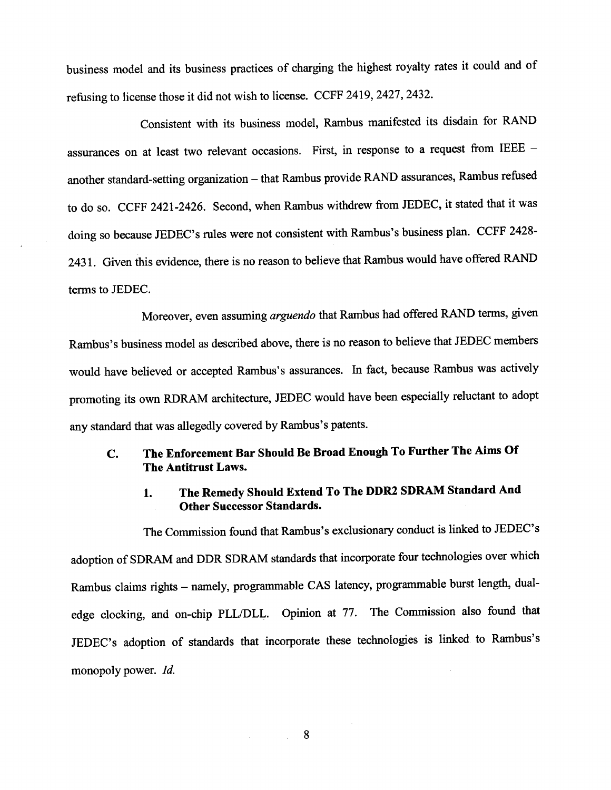business model and its business practices of charging the highest royalty rates it could and refusing to license those it did not wish to license. CCFF 2419, 2427, 2432.

Consistent with its business model, Rambus manifested its disdain for RAND assurances on at least two relevant occasions. First, in response to a request from IEEE  $$ another standard-setting organization - that Rambus provide RAND assurances, Rambus refused to do so. CCFF 2421-2426. Second, when Rambus withdrew from JEDEC, it stated that it was doing so because JEDEC's rules were not consistent with Rambus's business plan. CCFF 2428-2431. Given this evidence, there is no reason to believe that Rambus would have offered RAND terms to JEDEC.

Moreover, even assuming arguendo that Rambus had offered RAND terms, given Rambus's business model as described above, there is no reason to believe that JEDEC members would have believed or accepted Rambus's assurances. In fact, because Rambus was actively promoting its own RDRAM architectue, JEDEC would have been especially reluctant to adopt any standard that was allegedly covered by Rambus's patents.

### The Enforcement Bar Should Be Broad Enough To Further The Aims Of C. The Antitrust Laws.

#### The Remedy Should Extend To The DDR2 SDRAM Standard And  $1.$ Other Successor Standards.

The Commission found that Rambus's exclusionary conduct is linked to JEDEC's adoption of SDRAM and DDR SDRAM standards that incorporate four technologies over which Rambus claims rights - namely, programmable CAS latency, programmable burst length, dualedge clocking, and on-chip PLL/DLL. Opinion at 77. The Commission also found that JEDEC's adoption of standards that incorporate these technologies is linked to Rambus's monopoly power. Id.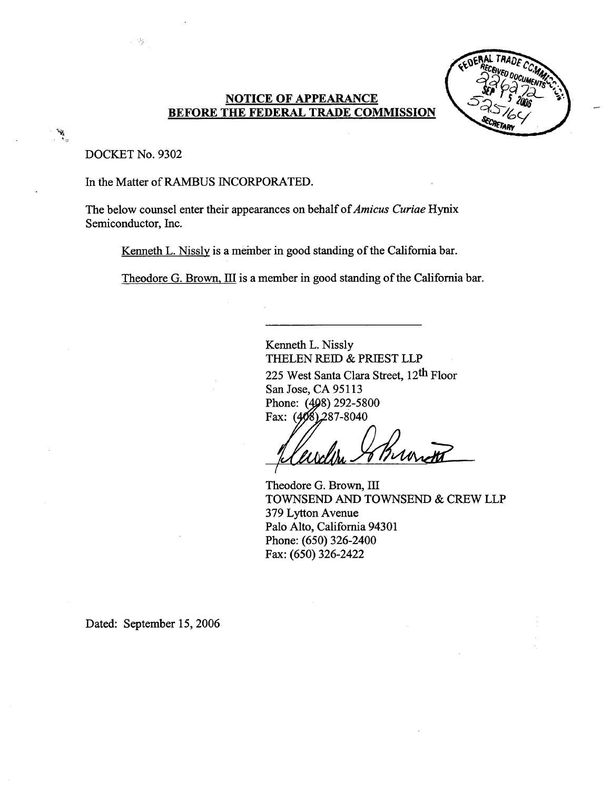### **NOTICE OF APPEARANCE** BEFORE THE FEDERAL TRADE COMMISSION



DOCKET No. 9302

 $\sim$   $\mu$ 

In the Matter of RAMBUS INCORPORATED.

The below counsel enter their appearances on behalf of *Amicus Curiae* Hynix Semiconductor, Inc.

Kenneth L. Nissly is a member in good standing of the California bar.

Theodore G. Brown. III is a member in good standing of the California bar.

Kenneth L. Nissly THELEN REID & PRIEST LLP 225 West Santa Clara Street, 12th Floor San Jose, CA 95113 Phone: (498) 292-5800 Fax:  $(408)$  287-8040

Brundt

Theodore G. Brown, III TOWNSEND AND TOWNSEND & CREW LLP 379 Lyton Avenue Palo Alto, California 94301 Phone: (650) 326-2400 Fax: (650) 326-2422

Dated: September 15, 2006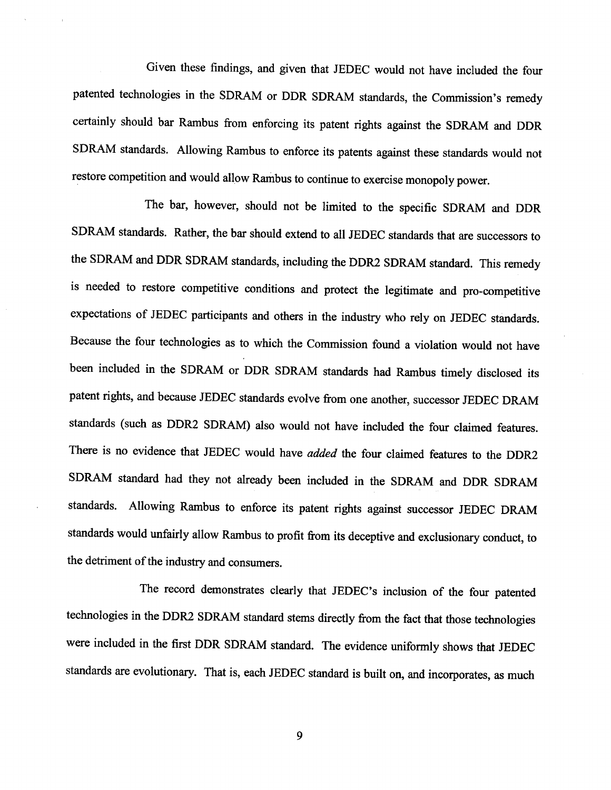Given these findings, and given that JEDEC would not have included the four patented technologies in the SDRAM or DDR SDRAM standards, the Commission's remedy certainly should bar Rambus from enforcing its patent rights against the SDRAM and DDR SDRAM standards. Allowing Rambus to enforce its patents against these standards would not restore competition and would allow Rambus to continue to exercise monopoly power.

The bar, however, should not be limited to the specific SDRAM and DDR SDRAM standards. Rather, the bar should extend to all JEDEC standards that are successors to the SDRAM and DDR SDRAM standards, including the DDR2 SDRAM standard. This remedy is needed to restore competitive conditions and protect the legitimate and pro-competitive expectations of JEDEC participants and others in the industry who rely on JEDEC standards. Because the four technologies as to which the Commission found a violation would not have been included in the SDRAM or DDR SDRAM standards had Rambus timely disclosed its patent rights, and because JEDEC standards evolve from one another, successor JEDEC DRAM standards (such as DDR2 SDRAM) also would not have included the four claimed featues. There is no evidence that JEDEC would have *added* the four claimed features to the DDR2 SDRAM standard had they not already been included in the SDRAM and DDR SDRA standards. Allowing Rambus to enforce its patent rights against successor JEDEC DRAM standards would unfairly allow Rambus to profit from its deceptive and exclusionary conduct, to the detriment of the industry and consumers.

The record demonstrates clearly that JEDEC's inclusion of the four patented technologies in the DDR2 SDRAM standard stems directly from the fact that those technologies were included in the first DDR SDRAM standard. The evidence uniformly shows that JEDEC standards are evolutionary. That is, each JEDEC standard is built on, and incorporates, as much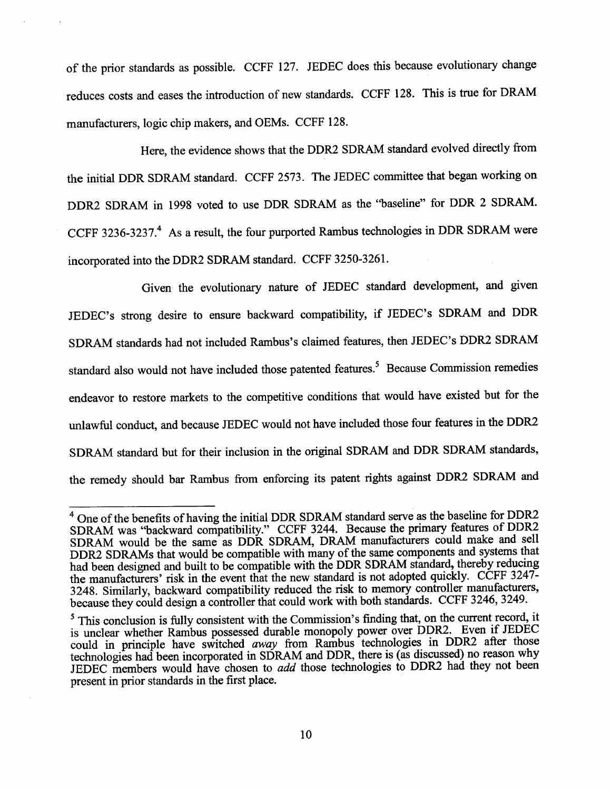of the prior standards as possible. CCFF 127. JEDEC does this because evolutionary change reduces costs and eases the introduction of new standards. CCFF 128. This is true for DRAM manufacturers, logic chip makers, and OEMs. CCFF 128.

Here, the evidence shows that the DDR2 SDRAM standard evolved directly from the initial DDR SDRAM standard. CCFF 2573. The JEDEC committee that began working on DDR2 SDRAM in 1998 voted to use DDR SDRAM as the "baseline" for DDR 2 SDRAM. CCFF 3236-3237.<sup>4</sup> As a result, the four purported Rambus technologies in DDR SDRAM were incorporated into the DDR2 SDRAM standard. CCFF 3250-3261.

Given the evolutionary nature of JEDEC standard development, and given JEDEC's strong desire to ensure backward compatibility, if JEDEC's SDRAM and DDR SDRAM standards had not included Rambus's claimed features, then JEDEC's DDR2 SDRAM standard also would not have included those patented features.<sup>5</sup> Because Commission remedies endeavor to restore markets to the competitive conditions that would have existed but for the unlawful conduct, and because JEDEC would not have included those four features in the DDR2 SDRAM standard but for their inclusion in the original SDRAM and DDR SDRAM standards, the remedy should bar Rambus from enforcing its patent rights against DDR2 SDRAM and

<sup>&</sup>lt;sup>4</sup> One of the benefits of having the initial DDR SDRAM standard serve as the baseline for DDR2 SDRAM was "backward compatibility." CCFF 3244. Because the primary features of DDR2 SDRAM would be the same as DDR SDRAM, DRAM manufacturers could make and sell DDR2 SDRAMs that would be compatible with many of the same components and systems that had been designed and built to be compatible with the DDR SDRAM standard, thereby reducing the manufacturers' risk in the event that the new standard is not adopted quickly. CCFF 3247-3248. Similarly, backward compatibilty reduced the risk to memory controller manufacturers because they could design a controller that could work with both standards. CCFF 3246, 3249.

<sup>&</sup>lt;sup>5</sup> This conclusion is fully consistent with the Commission's finding that, on the current record, it is unclear whether Rambus possessed durable monopoly power over DDR2. Even if JEDEC could in principle have switched *away* from Rambus technologies in DDR2 after those technologies had been incorporated in SDRAM and DDR, there is (as discussed) no reason why JEDEC members would have chosen to *add* those technologies to DDR2 had they not been present in prior standards in the first place.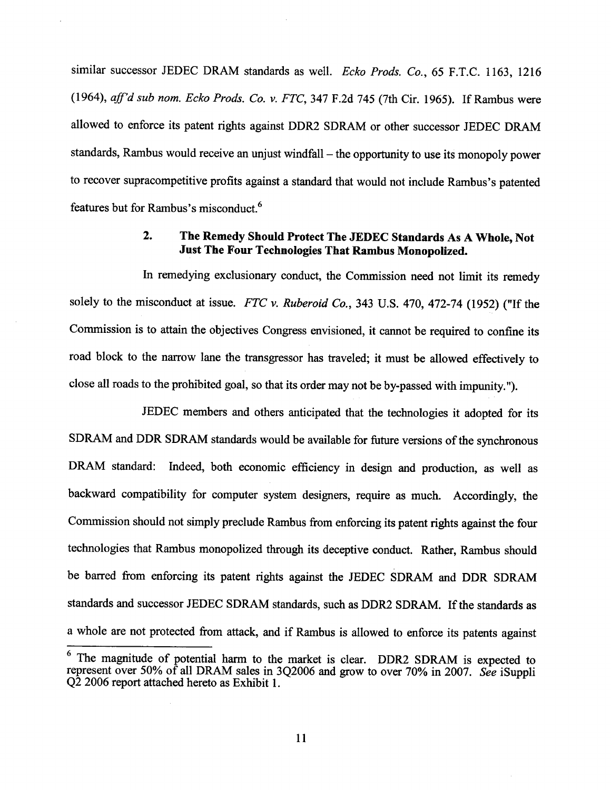similar successor JEDEC DRAM standards as well. Ecko Prods. Co., 65 F.T.C. 1163, 1216 (1964), aff'd sub nom. Ecko Prods. Co. v. FTC, 347 F.2d 745 (7th Cir. 1965). If Rambus were allowed to enforce its patent rights against DDR2 SDRAM or other successor JEDEC DRAM standards, Rambus would receive an unjust windfall – the opportunity to use its monopoly power to recover supracompetitive profits against a standard that would not include Rambus's patented features but for Rambus's misconduct.<sup>6</sup>

#### $2.$ The Remedy Should Protect The JEDEC Standards As A Whole, Not Just The Four Technologies That Rambus Monopolized.

In remedying exclusionary conduct, the Commission need not limit its remedy solely to the misconduct at issue. FTC v. Ruberoid Co., 343 U.S. 470, 472-74 (1952) ("If the Commission is to attain the objectives Congress envisioned, it canot be required to confine its road block to the narow lane the transgressor has traveled; it must be allowed effectively to close all roads to the prohibited goal, so that its order may not be by-passed with impunity. "

JEDEC members and others anticipated that the technologies it adopted for its SDRAM and DDR SDRAM standards would be available for future versions of the synchronous DRAM standard: Indeed, both economic efficiency in design and production, as well as backward compatibility for computer system designers, require as much. Accordingly, the Commission should not simply preclude Rambus from enforcing its patent rights against the four technologies that Rambus monopolized through its deceptive conduct. Rather, Rambus should be barred from enforcing its patent rights against the JEDEC SDRAM and DDR SDRAM standards and successor JEDEC SDRAM standards, such as DDR2 SDRAM. If the standards as a whole are not protected from attack, and if Rambus is allowed to enforce its patents against

The magnitude of potential harm to the market is clear. DDR2 SDRAM is expected to represent over 50% of all DRAM sales in 3Q2006 and grow to over 70% in 2007. See iSuppli Q2 2006 report attached hereto as Exhibit 1.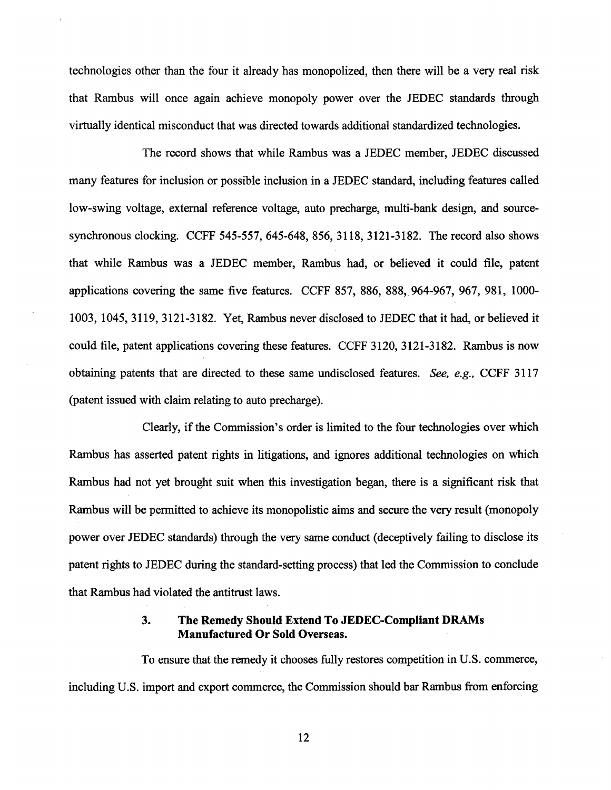technologies other than the four it already has monopolized, then there wil be a very real risk that Rambus will once again achieve monopoly power over the JEDEC standards through virtally identical misconduct that was directed towards additional standardized technologies.

The record shows that while Rambus was a JEDEC member, JEDEC discussed many features for inclusion or possible inclusion in a JEDEC standard, including featues called low-swing voltage, external reference voltage, auto precharge, multi-bank design, and sourcesynchronous clocking. CCFF 545-557, 645-648, 856, 3118, 3121-3182. The record also shows that while Rambus was a JEDEC member, Rambus had, or believed it could file, patent applications covering the same five features. CCFF 857, 886, 888, 964-967, 967, 981, 1000-1003, 1045, 3119, 3121-3182. Yet, Rambus never disclosed to JEDEC that it had, or believed it could file, patent applications covering these features. CCFF 3120, 3121-3182. Rambus is now obtaining patents that are directed to these same undisclosed features. See, e.g., CCFF 3117 (patent issued with claim relating to auto precharge).

Clearly, if the Commission's order is limited to the four technologies over which Rambus has asserted patent rights in litigations, and ignores additional technologies on which Rambus had not yet brought suit when this investigation began, there is a signficant risk that Rambus will be permitted to achieve its monopolistic aims and secure the very result (monopoly power over JEDEC standards) through the very same conduct (deceptively failng to disclose its patent rights to JEDEC durng the standard-setting process) that led the Commission to conclude that Rambus had violated the antitrust laws.

#### $3.$ The Remedy Should Extend To JEDEC-Compliant DRAMs Manufactured Or Sold Overseas.

To ensure that the remedy it chooses fully restores competition in U.S. commerce including U.S. import and export commerce, the Commission should bar Rambus from enforcing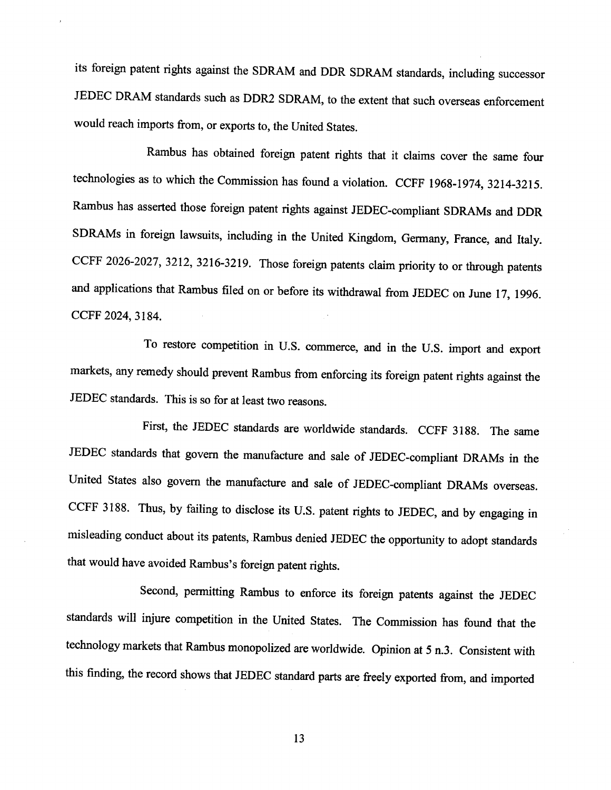its foreign patent rights against the SDRAM and DDR SDRAM standards, including successor JEDEC DRAM standards such as DDR2 SDRAM, to the extent that such overseas enforcement would reach imports from, or exports to, the United States.

Rambus has obtained foreign patent rights that it claims cover the same four technologies as to which the Commission has found a violation. CCFF 1968-1974, 3214-3215. Rambus has asserted those foreign patent rights against JEDEC-compliant SDRAMs and DDR SDRAMs in foreign lawsuits, including in the United Kingdom, Germany, France, and Italy. CCFF 2026-2027, 3212, 3216-3219. Those foreign patents claim priority to or through patents and applications that Rambus filed on or before its withdrawal from JEDEC on June 17 , 1996. CCFF 2024, 3184.

To restore competition in U.S. commerce, and in the U.S. import and export markets, any remedy should prevent Rambus from enforcing its foreign patent rights against the JEDEC standards. This is so for at least two reasons.

First, the JEDEC standards are worldwide standards. CCFF 3188. The same JEDEC standards that govern the manufacture and sale of JEDEC-compliant DRAMs in the United States also govern the manufactue and sale of JEDEC-compliant DRAMs overseas. CCFF 3188. Thus, by failing to disclose its U.S. patent rights to JEDEC, and by engaging in misleading conduct about its patents, Rambus denied JEDEC the opportnity to adopt standards that would have avoided Rambus's foreign patent rights.

Second, permitting Rambus to enforce its foreign patents against the JEDEC standards will injure competition in the United States. The Commission has found that the technology markets that Rambus monopolized are worldwide. Opinion at 5 n.3. Consistent with this finding, the record shows that JEDEC standard pars are freely exported from, and imported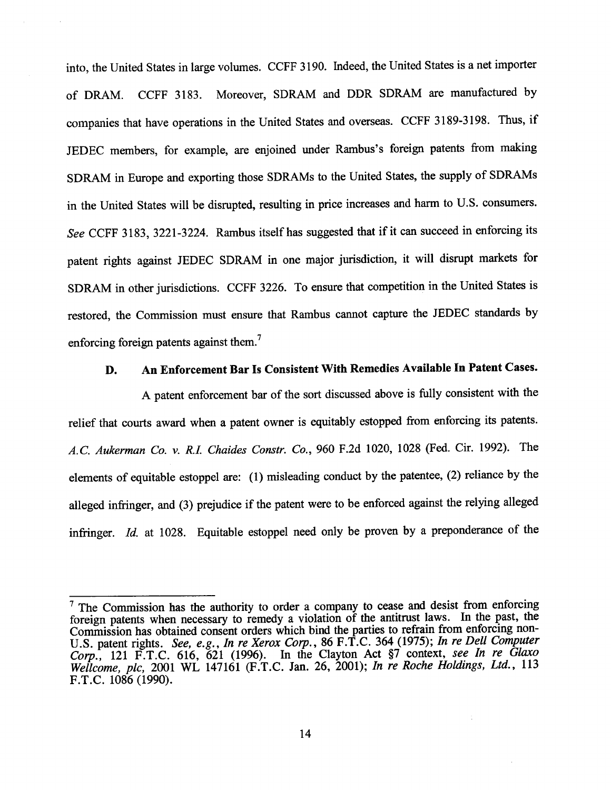into, the United States in large volumes. CCFF 3190. Indeed, the United States is a net importer of DRAM. CCFF 3183. Moreover, SDRAM and DDR SDRAM are manufactured by companies that have operations in the United States and overseas. CCFF 3189-3198. Thus, if JEDEC members, for example, are enjoined under Rambus's foreign patents from making SDRAM in Europe and exporting those SDRAMs to the United States, the supply of SDRAMs in the United States will be disrupted, resulting in price increases and harm to U.S. consumers. See CCFF 3183, 3221-3224. Rambus itself has suggested that if it can succeed in enforcing its patent rights against JEDEC SDRAM in one major jursdiction, it wil disrupt markets for SDRAM in other jurisdictions. CCFF 3226. To ensure that competition in the United States is restored, the Commission must ensure that Rambus canot captue the JEDEC standards by enforcing foreign patents against them.<sup>7</sup>

#### An Enforcement Bar Is Consistent With Remedies Available In Patent Cases. D.

A patent enforcement bar of the sort discussed above is fully consistent with the relief that courts award when a patent owner is equitably estopped from enforcing its patents. A.C. Aukerman Co. v. R.I. Chaides Constr. Co., 960 F.2d 1020, 1028 (Fed. Cir. 1992). The elements of equitable estoppel are: (1) misleading conduct by the patentee, (2) reliance by the alleged infringer, and (3) prejudice if the patent were to be enforced against the relying alleged infringer. Id. at 1028. Equitable estoppel need only be proven by a preponderance of the

 $<sup>7</sup>$  The Commission has the authority to order a company to cease and desist from enforcing</sup> foreign patents when necessary to remedy a violation of the antitrust laws. In the past, the Commission has obtained consent orders which bind the parties to refrain from enforcing non-U.S. patent rights. See, e.g., In re Xerox Corp., 86 F.T.C. 364 (1975); In re Dell Computer Corp., 121 F.T.C. 616, 621 (1996). In the Clayton Act  $\frac{1}{57}$  context, see In re Glaxo Wellcome, plc, 2001 WL 147161 (F.T.C. Jan. 26, 2001); In re Roche Holdings, Ltd., 113 F.T.C. 1086 (1990).